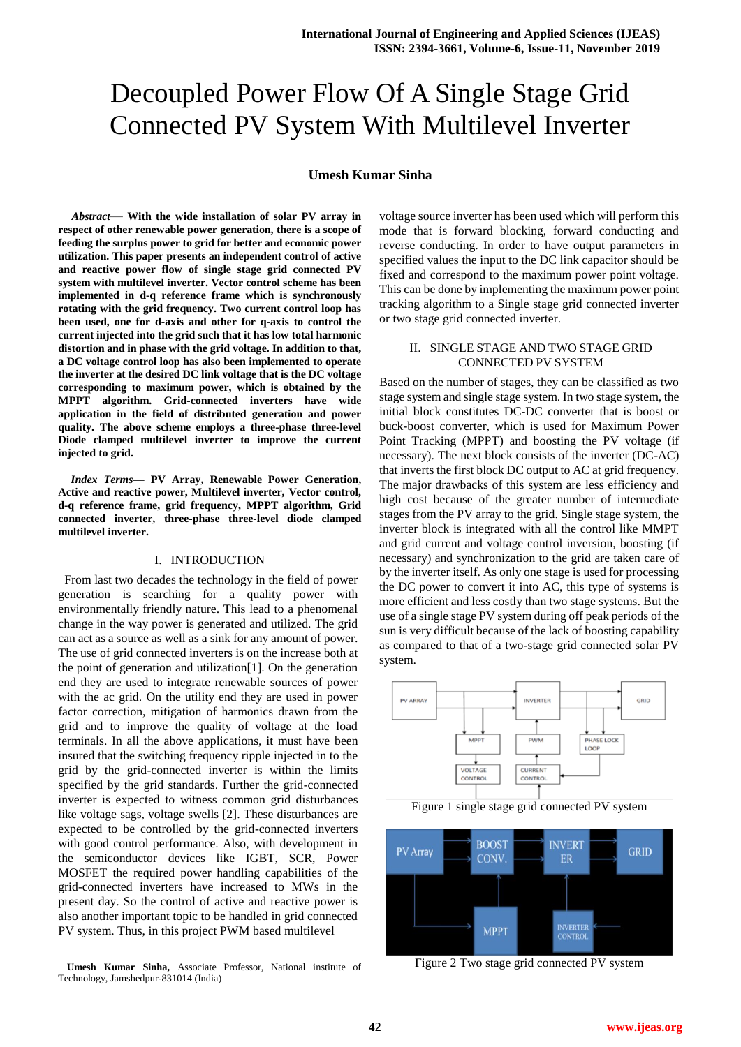# Decoupled Power Flow Of A Single Stage Grid Connected PV System With Multilevel Inverter

#### **Umesh Kumar Sinha**

*Abstract*— **With the wide installation of solar PV array in respect of other renewable power generation, there is a scope of feeding the surplus power to grid for better and economic power utilization. This paper presents an independent control of active and reactive power flow of single stage grid connected PV system with multilevel inverter. Vector control scheme has been implemented in d-q reference frame which is synchronously rotating with the grid frequency. Two current control loop has been used, one for d-axis and other for q-axis to control the current injected into the grid such that it has low total harmonic distortion and in phase with the grid voltage. In addition to that, a DC voltage control loop has also been implemented to operate the inverter at the desired DC link voltage that is the DC voltage corresponding to maximum power, which is obtained by the MPPT algorithm. Grid-connected inverters have wide application in the field of distributed generation and power quality. The above scheme employs a three-phase three-level Diode clamped multilevel inverter to improve the current injected to grid.**

*Index Terms***— PV Array, Renewable Power Generation, Active and reactive power, Multilevel inverter, Vector control, d-q reference frame, grid frequency, MPPT algorithm, Grid connected inverter, three-phase three-level diode clamped multilevel inverter.**

#### I. INTRODUCTION

 From last two decades the technology in the field of power generation is searching for a quality power with environmentally friendly nature. This lead to a phenomenal change in the way power is generated and utilized. The grid can act as a source as well as a sink for any amount of power. The use of grid connected inverters is on the increase both at the point of generation and utilization[1]. On the generation end they are used to integrate renewable sources of power with the ac grid. On the utility end they are used in power factor correction, mitigation of harmonics drawn from the grid and to improve the quality of voltage at the load terminals. In all the above applications, it must have been insured that the switching frequency ripple injected in to the grid by the grid-connected inverter is within the limits specified by the grid standards. Further the grid-connected inverter is expected to witness common grid disturbances like voltage sags, voltage swells [2]. These disturbances are expected to be controlled by the grid-connected inverters with good control performance. Also, with development in the semiconductor devices like IGBT, SCR, Power MOSFET the required power handling capabilities of the grid-connected inverters have increased to MWs in the present day. So the control of active and reactive power is also another important topic to be handled in grid connected PV system. Thus, in this project PWM based multilevel

**Umesh Kumar Sinha,** Associate Professor, National institute of Technology, Jamshedpur-831014 (India)

voltage source inverter has been used which will perform this mode that is forward blocking, forward conducting and reverse conducting. In order to have output parameters in specified values the input to the DC link capacitor should be fixed and correspond to the maximum power point voltage. This can be done by implementing the maximum power point tracking algorithm to a Single stage grid connected inverter or two stage grid connected inverter.

#### II. SINGLE STAGE AND TWO STAGE GRID CONNECTED PV SYSTEM

Based on the number of stages, they can be classified as two stage system and single stage system. In two stage system, the initial block constitutes DC-DC converter that is boost or buck-boost converter, which is used for Maximum Power Point Tracking (MPPT) and boosting the PV voltage (if necessary). The next block consists of the inverter (DC-AC) that inverts the first block DC output to AC at grid frequency. The major drawbacks of this system are less efficiency and high cost because of the greater number of intermediate stages from the PV array to the grid. Single stage system, the inverter block is integrated with all the control like MMPT and grid current and voltage control inversion, boosting (if necessary) and synchronization to the grid are taken care of by the inverter itself. As only one stage is used for processing the DC power to convert it into AC, this type of systems is more efficient and less costly than two stage systems. But the use of a single stage PV system during off peak periods of the sun is very difficult because of the lack of boosting capability as compared to that of a two-stage grid connected solar PV system.







Figure 2 Two stage grid connected PV system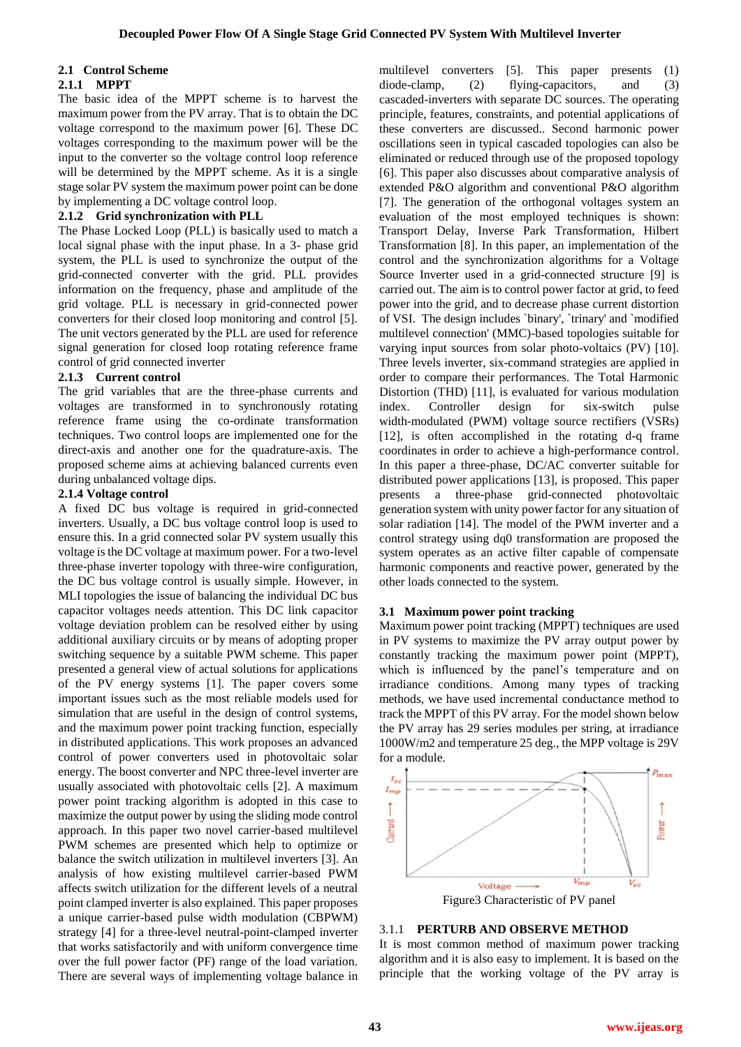# **2.1 Control Scheme**

#### **2.1.1 MPPT**

The basic idea of the MPPT scheme is to harvest the maximum power from the PV array. That is to obtain the DC voltage correspond to the maximum power [6]. These DC voltages corresponding to the maximum power will be the input to the converter so the voltage control loop reference will be determined by the MPPT scheme. As it is a single stage solar PV system the maximum power point can be done by implementing a DC voltage control loop.

## **2.1.2 Grid synchronization with PLL**

The Phase Locked Loop (PLL) is basically used to match a local signal phase with the input phase. In a 3- phase grid system, the PLL is used to synchronize the output of the grid-connected converter with the grid. PLL provides information on the frequency, phase and amplitude of the grid voltage. PLL is necessary in grid-connected power converters for their closed loop monitoring and control [5]. The unit vectors generated by the PLL are used for reference signal generation for closed loop rotating reference frame control of grid connected inverter

## **2.1.3 Current control**

The grid variables that are the three-phase currents and voltages are transformed in to synchronously rotating reference frame using the co-ordinate transformation techniques. Two control loops are implemented one for the direct-axis and another one for the quadrature-axis. The proposed scheme aims at achieving balanced currents even during unbalanced voltage dips.

#### **2.1.4 Voltage control**

A fixed DC bus voltage is required in grid-connected inverters. Usually, a DC bus voltage control loop is used to ensure this. In a grid connected solar PV system usually this voltage is the DC voltage at maximum power. For a two-level three-phase inverter topology with three-wire configuration, the DC bus voltage control is usually simple. However, in MLI topologies the issue of balancing the individual DC bus capacitor voltages needs attention. This DC link capacitor voltage deviation problem can be resolved either by using additional auxiliary circuits or by means of adopting proper switching sequence by a suitable PWM scheme. This paper presented a general view of actual solutions for applications of the PV energy systems [1]. The paper covers some important issues such as the most reliable models used for simulation that are useful in the design of control systems, and the maximum power point tracking function, especially in distributed applications. This work proposes an advanced control of power converters used in photovoltaic solar energy. The boost converter and NPC three-level inverter are usually associated with photovoltaic cells [2]. A maximum power point tracking algorithm is adopted in this case to maximize the output power by using the sliding mode control approach. In this paper two novel carrier-based multilevel PWM schemes are presented which help to optimize or balance the switch utilization in multilevel inverters [3]. An analysis of how existing multilevel carrier-based PWM affects switch utilization for the different levels of a neutral point clamped inverter is also explained. This paper proposes a unique carrier-based pulse width modulation (CBPWM) strategy [4] for a three-level neutral-point-clamped inverter that works satisfactorily and with uniform convergence time over the full power factor (PF) range of the load variation. There are several ways of implementing voltage balance in

multilevel converters [5]. This paper presents (1) diode-clamp, (2) flying-capacitors, and (3) cascaded-inverters with separate DC sources. The operating principle, features, constraints, and potential applications of these converters are discussed.. Second harmonic power oscillations seen in typical cascaded topologies can also be eliminated or reduced through use of the proposed topology [6]. This paper also discusses about comparative analysis of extended P&O algorithm and conventional P&O algorithm [7]. The generation of the orthogonal voltages system an evaluation of the most employed techniques is shown: Transport Delay, Inverse Park Transformation, Hilbert Transformation [8]. In this paper, an implementation of the control and the synchronization algorithms for a Voltage Source Inverter used in a grid-connected structure [9] is carried out. The aim is to control power factor at grid, to feed power into the grid, and to decrease phase current distortion of VSI. The design includes `binary', `trinary' and `modified multilevel connection' (MMC)-based topologies suitable for varying input sources from solar photo-voltaics (PV) [10]. Three levels inverter, six-command strategies are applied in order to compare their performances. The Total Harmonic Distortion (THD) [11], is evaluated for various modulation index. Controller design for six-switch pulse width-modulated (PWM) voltage source rectifiers (VSRs) [12], is often accomplished in the rotating d-q frame coordinates in order to achieve a high-performance control. In this paper a three-phase, DC/AC converter suitable for distributed power applications [13], is proposed. This paper presents a three-phase grid-connected photovoltaic generation system with unity power factor for any situation of solar radiation [14]. The model of the PWM inverter and a control strategy using dq0 transformation are proposed the system operates as an active filter capable of compensate harmonic components and reactive power, generated by the other loads connected to the system.

## **3.1 Maximum power point tracking**

Maximum power point tracking (MPPT) techniques are used in PV systems to maximize the PV array output power by constantly tracking the maximum power point (MPPT), which is influenced by the panel's temperature and on irradiance conditions. Among many types of tracking methods, we have used incremental conductance method to track the MPPT of this PV array. For the model shown below the PV array has 29 series modules per string, at irradiance 1000W/m2 and temperature 25 deg., the MPP voltage is 29V for a module.



#### 3.1.1 **PERTURB AND OBSERVE METHOD**

It is most common method of maximum power tracking algorithm and it is also easy to implement. It is based on the principle that the working voltage of the PV array is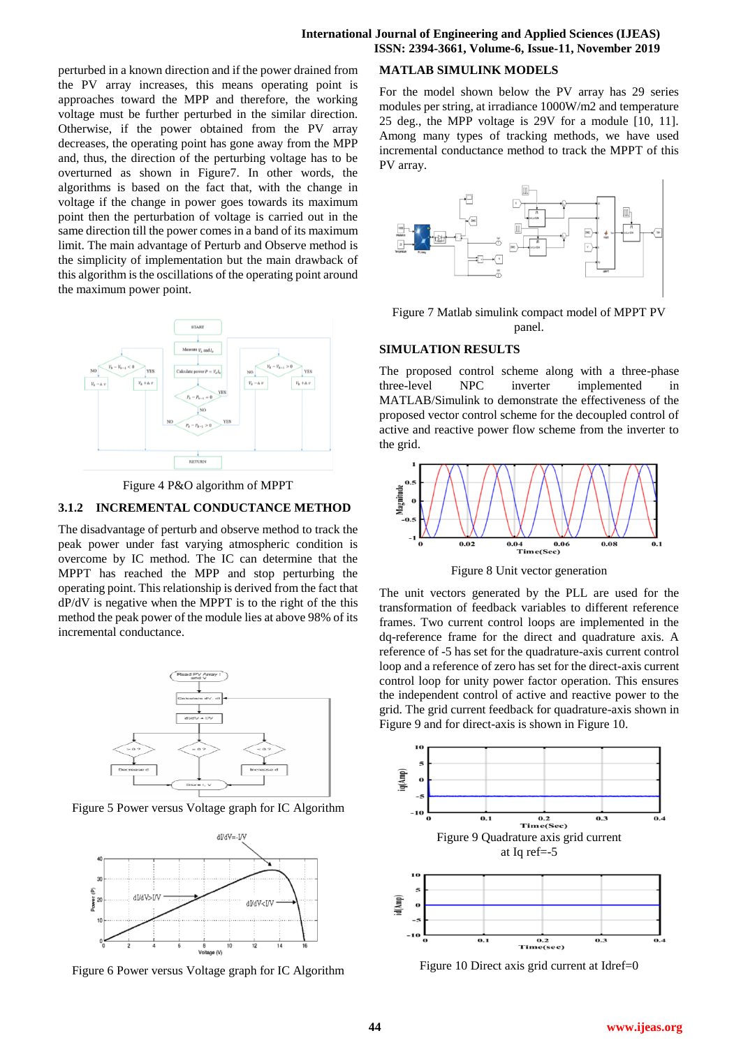perturbed in a known direction and if the power drained from the PV array increases, this means operating point is approaches toward the MPP and therefore, the working voltage must be further perturbed in the similar direction. Otherwise, if the power obtained from the PV array decreases, the operating point has gone away from the MPP and, thus, the direction of the perturbing voltage has to be overturned as shown in Figure7. In other words, the algorithms is based on the fact that, with the change in voltage if the change in power goes towards its maximum point then the perturbation of voltage is carried out in the same direction till the power comes in a band of its maximum limit. The main advantage of Perturb and Observe method is the simplicity of implementation but the main drawback of this algorithm is the oscillations of the operating point around the maximum power point.



Figure 4 P&O algorithm of MPPT

#### **3.1.2 INCREMENTAL CONDUCTANCE METHOD**

The disadvantage of perturb and observe method to track the peak power under fast varying atmospheric condition is overcome by IC method. The IC can determine that the MPPT has reached the MPP and stop perturbing the operating point. This relationship is derived from the fact that dP/dV is negative when the MPPT is to the right of the this method the peak power of the module lies at above 98% of its incremental conductance.



Figure 5 Power versus Voltage graph for IC Algorithm



Figure 6 Power versus Voltage graph for IC Algorithm

#### **MATLAB SIMULINK MODELS**

For the model shown below the PV array has 29 series modules per string, at irradiance 1000W/m2 and temperature 25 deg., the MPP voltage is 29V for a module [10, 11]. Among many types of tracking methods, we have used incremental conductance method to track the MPPT of this PV array.



Figure 7 Matlab simulink compact model of MPPT PV panel.

#### **SIMULATION RESULTS**

The proposed control scheme along with a three-phase three-level NPC inverter implemented in MATLAB/Simulink to demonstrate the effectiveness of the proposed vector control scheme for the decoupled control of active and reactive power flow scheme from the inverter to the grid.



Figure 8 Unit vector generation

The unit vectors generated by the PLL are used for the transformation of feedback variables to different reference frames. Two current control loops are implemented in the dq-reference frame for the direct and quadrature axis. A reference of -5 has set for the quadrature-axis current control loop and a reference of zero has set for the direct-axis current control loop for unity power factor operation. This ensures the independent control of active and reactive power to the grid. The grid current feedback for quadrature-axis shown in Figure 9 and for direct-axis is shown in Figure 10.



Figure 10 Direct axis grid current at Idref=0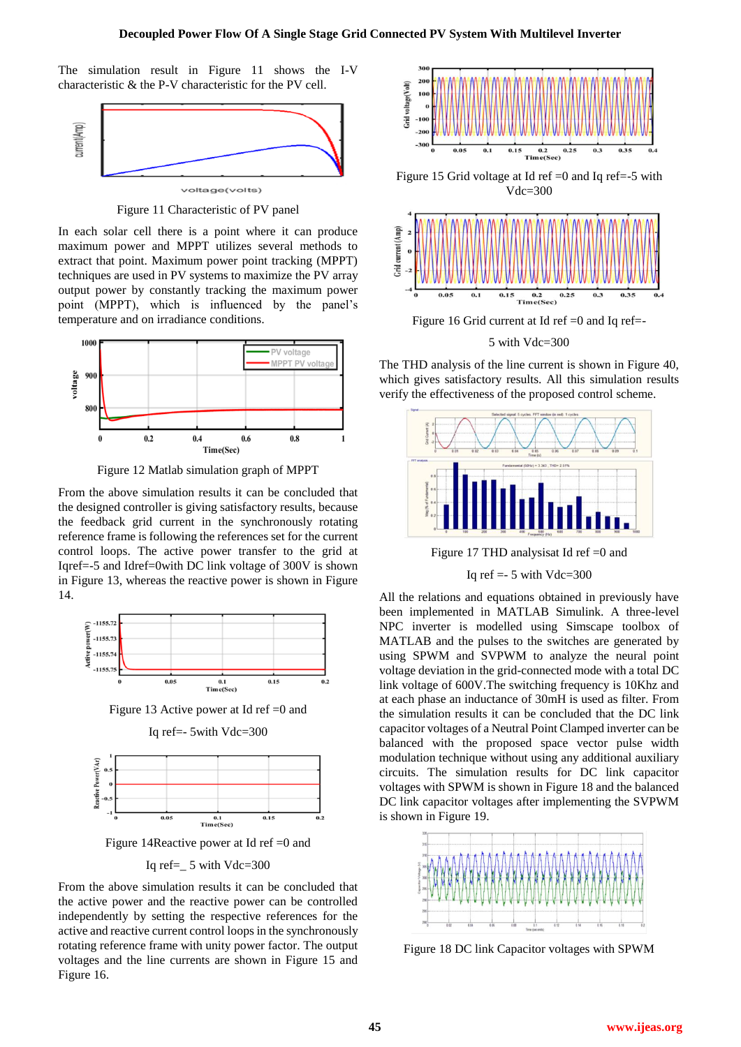The simulation result in Figure 11 shows the I-V characteristic & the P-V characteristic for the PV cell.



Figure 11 Characteristic of PV panel

In each solar cell there is a point where it can produce maximum power and MPPT utilizes several methods to extract that point. Maximum power point tracking (MPPT) techniques are used in PV systems to maximize the PV array output power by constantly tracking the maximum power point (MPPT), which is influenced by the panel's temperature and on irradiance conditions.



Figure 12 Matlab simulation graph of MPPT

From the above simulation results it can be concluded that the designed controller is giving satisfactory results, because the feedback grid current in the synchronously rotating reference frame is following the references set for the current control loops. The active power transfer to the grid at Iqref=-5 and Idref=0with DC link voltage of 300V is shown in Figure 13, whereas the reactive power is shown in Figure 14.



Figure 13 Active power at Id ref =0 and





Figure 14Reactive power at Id ref =0 and

Iq ref= $5$  with Vdc=300

From the above simulation results it can be concluded that the active power and the reactive power can be controlled independently by setting the respective references for the active and reactive current control loops in the synchronously rotating reference frame with unity power factor. The output voltages and the line currents are shown in Figure 15 and Figure 16.



Figure 15 Grid voltage at Id ref  $=0$  and Iq ref $=5$  with Vdc=300



Figure 16 Grid current at Id ref  $=0$  and Iq ref $=$ 

5 with Vdc=300

The THD analysis of the line current is shown in Figure 40, which gives satisfactory results. All this simulation results verify the effectiveness of the proposed control scheme.



Figure 17 THD analysisat Id ref =0 and

Iq ref  $=$  5 with Vdc $=$ 300

All the relations and equations obtained in previously have been implemented in MATLAB Simulink. A three-level NPC inverter is modelled using Simscape toolbox of MATLAB and the pulses to the switches are generated by using SPWM and SVPWM to analyze the neural point voltage deviation in the grid-connected mode with a total DC link voltage of 600V.The switching frequency is 10Khz and at each phase an inductance of 30mH is used as filter. From the simulation results it can be concluded that the DC link capacitor voltages of a Neutral Point Clamped inverter can be balanced with the proposed space vector pulse width modulation technique without using any additional auxiliary circuits. The simulation results for DC link capacitor voltages with SPWM is shown in Figure 18 and the balanced DC link capacitor voltages after implementing the SVPWM is shown in Figure 19.



Figure 18 DC link Capacitor voltages with SPWM